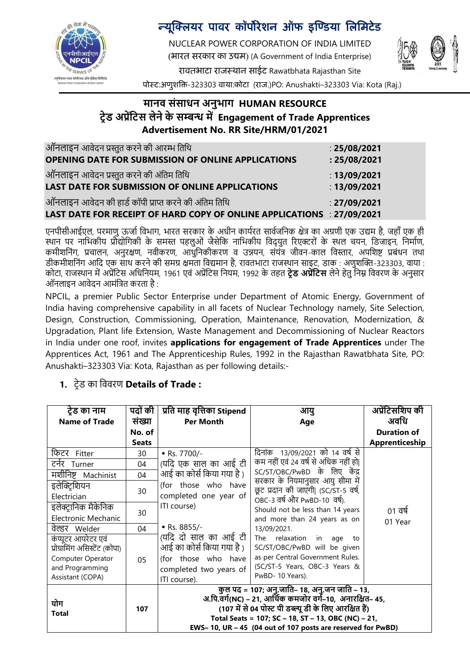

# न्यूक्लियर पावर कॉर्पोरेशन ऑफ इण्डिया लिमिटेड

NUCLEAR POWER CORPORATION OF INDIA LIMITED (भारत सरकार का उद्यि) (A Government of India Enterprise)



रावतभाटा राजस्थान साईट Rawatbhata Rajasthan Site

पोस्ट:अणुशक्ति-323303 वाया:कोटा (राज.)PO: Anushakti–323303 Via: Kota (Raj.)

### **मानव संसाधन अनुभाग HUMAN RESOURCE ट्रेड अप्रेंटट्स लेने के सम्बन्ध में Engagement of Trade Apprentices Advertisement No. RR Site/HRM/01/2021**

| ऑनलाइन आवेदन प्रस्तुत करने की आरम्भ तिथि                               | : $25/08/2021$ |
|------------------------------------------------------------------------|----------------|
| OPENING DATE FOR SUBMISSION OF ONLINE APPLICATIONS                     | : 25/08/2021   |
| ऑनलाइन आवेदन प्रस्तुत करने की अंतिम तिथि                               | : $13/09/2021$ |
| LAST DATE FOR SUBMISSION OF ONLINE APPLICATIONS                        | : $13/09/2021$ |
| ऑनलाइन आवेदन की हार्ड कॉपी प्राप्त करने की अंतिम तिथि                  | : 27/09/2021   |
| LAST DATE FOR RECEIPT OF HARD COPY OF ONLINE APPLICATIONS : 27/09/2021 |                |

एनपीसीआईएल, परमाणु ऊर्जा विभाग, भारत सरकार के अधीन कार्यरत सार्वजनिक क्षेत्र का अग्रणी एक उद्यम है, जहाँ एक ही स्थान पर नाभिकीय प्रौद्योगिकी के समस्त पहलुओं जैसेकि नाभिकीय विदुयुत रिएक्टरों के स्थल चयन, डिजाइन, निर्माण, कमीशतनंग, प्रचालन, अनुरक्षण, नवीकरण, आधुतनकीकरण व उन्नयन, संयंत्र जीवन-काल तवस्तार, अपतशष्ट प्रबंधन तथा डीकमीशतनंग आतद एक साथ करने की समग्र क्षमता तवद्यमान है, रावतभाटा राजस्थान साइट, डाक : अणुशक्ति-323303, वाया : कोटा, राजस्थान में अप्रेंतटस अतधतनयम, 1961 एवं अप्रेंतटस तनयम, 1992 के तहत **ट्रेड अप्रेंटट्स** लेने हेतु तनम्न तववरण के अनुसार ऑनलाइन आवेदन आमंतत्रत करता है :

NPCIL, a premier Public Sector Enterprise under Department of Atomic Energy, Government of India having comprehensive capability in all facets of Nuclear Technology namely, Site Selection, Design, Construction, Commissioning, Operation, Maintenance, Renovation, Modernization, & Upgradation, Plant life Extension, Waste Management and Decommissioning of Nuclear Reactors in India under one roof, invites **applications for engagement of Trade Apprentices** under The Apprentices Act, 1961 and The Apprenticeship Rules, 1992 in the Rajasthan Rawatbhata Site, PO: Anushakti–323303 Via: Kota, Rajasthan as per following details:-

#### **ट्रेड का नाम Name of Trade पद ं की संख्या No. of Seats प्रटि माह वृटिका Stipend Per Month आयु Age अप्रेंटट्सटिप की अवटध Duration of Apprenticeship** तिटर Fitter 30 Rs. 7700/- (यतद एक साल का आई टी आई का कोर्स किया गया है ) (for those who have completed one year of ITI course) Rs. 8855/- (यतद दो साल का आई टी आई का कोर्स किया गया है ) (for those who have completed two years of ITI course). तदनांक 13/09/2021 को 14 वर्ड से कम नहीं एवं 24 वर्ड से अतधक नहीं हो| SC/ST/OBC/PwBD के लिए केंद्र सरकार के तनयमानुसार आयु सीमा में छू ट प्रदान की जाएगी| (SC/ST-5 वर्ड, OBC-3 वर्डऔर PwBD-10 वर्ड). Should not be less than 14 years and more than 24 years as on 13/09/2021. The relaxation in age to SC/ST/OBC/PwBD will be given as per Central Government Rules. (SC/ST-5 Years, OBC-3 Years & PwBD- 10 Years).  $01$   $\overline{d}$ 01 Year टनडर Turner 04 मशीतनष्ट Machinist 04 इलेक्ट्रिशयन Electrician 30 इलेक्टानिक मैकेनिक Electronic Mechanic 30 वेल्डर Welder 04 कं प्यूटर आपरेटर एवं प्रोग्रातमंग अतसस्टेंट (कोपा) Computer Operator and Programming Assistant (COPA) 05 <u>योग</u> **Total <sup>107</sup> कु ल पद = 107; अनु.जाटि– 18, अनु.जन जाटि – 13, अ.टप.वगग(NC) – 21, आटथगक कमज र वगग–10, अनारटिि– 45, (107 में से 04 प स्ट पी डब्ल्यू डी के टलए आरटिि हैं) Total Seats = 107; SC – 18, ST – 13, OBC (NC) – 21, EWS– 10, UR – 45 (04 out of 107 posts are reserved for PwBD)**

#### **1.** टरेड का तववरण **Details of Trade :**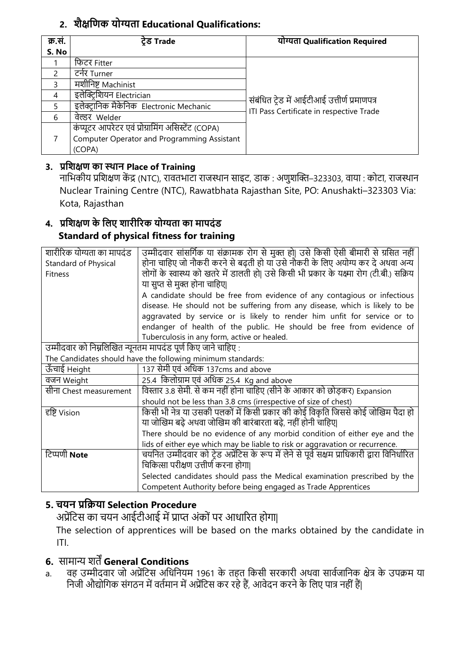## **2. िैिटिक य ग्यिा Educational Qualifications:**

| क्र.सं.       | ट्रेड Trade                                        | योग्यता Qualification Required               |
|---------------|----------------------------------------------------|----------------------------------------------|
| S. No         |                                                    |                                              |
|               | फिटर Fitter                                        |                                              |
| $\mathcal{P}$ | टनेर Turner                                        |                                              |
| 3             | मशीनिष्ट Machinist                                 |                                              |
| 4             | इलेक्ट्रिशियन Electrician                          | संबंधित ट्रेड में आईटीआई उत्तीर्ण प्रमाणपत्र |
| 5             | इलेक्टानिक मैकेनिक Electronic Mechanic             | ITI Pass Certificate in respective Trade     |
| 6             | वेल्डर Welder                                      |                                              |
|               | कंप्यूटर आपरेटर एवं प्रोग्रामिंग असिस्टेंट (COPA)  |                                              |
|               | <b>Computer Operator and Programming Assistant</b> |                                              |
|               | (COPA)                                             |                                              |

### **3. प्रटििि का स्थान Place of Training**

नातभकीय प्रतशक्षण कें द्र (NTC), रावतभाटा राजस्थान साइट, डाक : अणुशक्ति–323303, वाया : कोटा, राजस्थान Nuclear Training Centre (NTC), Rawatbhata Rajasthan Site, PO: Anushakti–323303 Via: Kota, Rajasthan

### **4. प्रटििि के टलए िारीररक य ग्यिा का मापदंड Standard of physical fitness for training**

| शारीरिक योग्यता का मापदंड                                     | उम्मीदवार सांसर्गिक या संक्रामक रोग से मुक्त हो  उसे किसी ऐसी बीमारी से ग्रसित नहीं            |  |
|---------------------------------------------------------------|------------------------------------------------------------------------------------------------|--|
| Standard of Physical                                          | होना चाहिए जो नौकरी करने से बढ़ती हो या उसे नौकरी के लिए अयोग्य कर दे अथवा अन्य                |  |
| <b>Fitness</b>                                                | लोगों के स्वास्थ्य को खतरे में डालती हो  उसे किसी भी प्रकार के यक्ष्मा रोग (टी.बी.) सक्रिय     |  |
|                                                               | या सुप्त से मुक्त होना चाहिए                                                                   |  |
|                                                               | A candidate should be free from evidence of any contagious or infectious                       |  |
|                                                               | disease. He should not be suffering from any disease, which is likely to be                    |  |
|                                                               | aggravated by service or is likely to render him unfit for service or to                       |  |
|                                                               | endanger of health of the public. He should be free from evidence of                           |  |
|                                                               | Tuberculosis in any form, active or healed.                                                    |  |
| उम्मीदवार को निम्नलिखित न्यूनतम मापदंड पूर्ण किए जाने चाहिए : |                                                                                                |  |
|                                                               | The Candidates should have the following minimum standards:                                    |  |
| ऊँचाई Height                                                  | 137 सेमी एवं अधिक 137cms and above                                                             |  |
| वजन Weight                                                    | 25.4 किलोग्राम एवं अधिक 25.4 Kg and above                                                      |  |
| सीना Chest measurement                                        | विस्तार 3.8 सेमी. से कम नहीं होना चाहिए (सीने के आकार को छोड़कर) Expansion                     |  |
|                                                               | should not be less than 3.8 cms (irrespective of size of chest)                                |  |
| हष्टि Vision                                                  | किसी भी नेत्र या उसकी पलकों में किसी प्रकार की कोई विकृति जिससे कोई जोखिम पैदा हो              |  |
|                                                               | या जोखिम बढ़े अथवा जोखिम की बारंबारता बढ़े, नहीं होनी चाहिए                                    |  |
|                                                               | There should be no evidence of any morbid condition of either eye and the                      |  |
|                                                               | lids of either eye which may be liable to risk or aggravation or recurrence.                   |  |
| टिप्पणी <b>Note</b>                                           | चयनित उम्मीदवार को टे़ड अप्रेंटिस के रूप में लेने से पूर्व सक्षम प्राधिकारी द्वारा विनिर्धारित |  |
|                                                               | चिकित्सा परीक्षण उत्तीर्ण करना होगा।                                                           |  |
|                                                               | Selected candidates should pass the Medical examination prescribed by the                      |  |
|                                                               | Competent Authority before being engaged as Trade Apprentices                                  |  |

## **5. चयन प्रटक्रया Selection Procedure**

अप्रेंतटस का चयन आईटीआई में प्राप्त अंकों पर आधाररत होगा|

The selection of apprentices will be based on the marks obtained by the candidate in ITI.

# **6.** सामान्य शतें**General Conditions**

a. वह उम्मीदवार जो अप्रेंटिस अधिनियम 1961 के तहत किसी सरकारी अथवा सार्वजानिक क्षेत्र के उपक्रम या निजी औद्योगिक संगठन में वर्तमान में अप्रेंटिस कर रहे हैं, आवेदन करने के लिए पात्र नहीं हैं|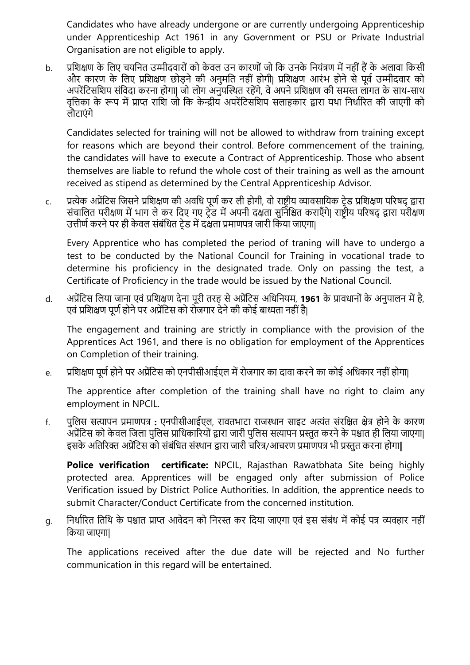Candidates who have already undergone or are currently undergoing Apprenticeship under Apprenticeship Act 1961 in any Government or PSU or Private Industrial Organisation are not eligible to apply.

b. प्रतशक्षण के तलए चयतनत उम्मीदवारों को के वल उन कारणों जो तक उनके तनयंत्रण में नहीं हैं के अलावा तकसी और कारण के तलए प्रतशक्षण छोड़ने की अनुमतत नहीं होगी| प्रतशक्षण आरंभ होने से पूवड उम्मीदवार को अपरेंटिसशिप संविदा करना होगा| जो लोग अनुपस्थित रहेंगे, वे अपने प्रशिक्षण की समस्त लागत के साथ-साथ वृतत्तका के रूप में प्राप्त रातश जो तक के न्द्रीय अपरेंतटसतशप सलाहकार द्वारा यथा तनधाडररत की जाएगी को लौटाएंगे

Candidates selected for training will not be allowed to withdraw from training except for reasons which are beyond their control. Before commencement of the training, the candidates will have to execute a Contract of Apprenticeship. Those who absent themselves are liable to refund the whole cost of their training as well as the amount received as stipend as determined by the Central Apprenticeship Advisor.

c. प्रत्येक अप्रेंतटस तजसनेप्रतशक्षण की अवतध पूणडकर ली होगी, वो राष्टरीय व्यावसातयक टरेड प्रतशक्षण पररर्द् द्वारा संचालित परीक्षण में भाग ले कर दिए गए ट्रेंड में अपनी दक्षता सुनिश्चित कराएँगे| राष्ट्रीय परिषद् द्वारा परीक्षण उत्तीर्ण करने पर ही केवल संबंधित टेड में दक्षता प्रमाणपत्र जारी किया जाएगा|

Every Apprentice who has completed the period of traning will have to undergo a test to be conducted by the National Council for Training in vocational trade to determine his proficiency in the designated trade. Only on passing the test, a Certificate of Proficiency in the trade would be issued by the National Council.

d. अप्रेंतटस तलया जाना एवं प्रतशक्षण देना पूरी तरह से अप्रेंतटस अतधतनयम, **1961** के प्रावधानों के अनुपालन में है, एवं प्रशिक्षण पूर्ण होने पर अप्रेंटिस को रोजगार देने की कोई बाध्यता नहीं है।

The engagement and training are strictly in compliance with the provision of the Apprentices Act 1961, and there is no obligation for employment of the Apprentices on Completion of their training.

e. प्रतशक्षण पूणड होने पर अप्रेंतटस को एनपीसीआईएल में रोजगार का दावा करने का कोई अतधकार नहीं होगा|

The apprentice after completion of the training shall have no right to claim any employment in NPCIL.

f. पुतलस सत्यापन प्रमाणपत्र **:** एनपीसीआईएल, रावतभाटा राजस्थान साइट अत्यंत संरतक्षत क्षेत्र होने के कारण अप्रेंटिस को केवल जिला पुलिस प्राधिकारियों द्वारा जारी पुलिस सत्यापन प्रस्तुत करने के पश्चात ही लिया जाएगा| इसके अततररि अप्रेंतटस को संबंतधत संस्थान द्वारा जारी चररत्र/आचरण प्रमाणपत्र भी प्रस्तुत करना होगा**|** 

**Police verification certificate:** NPCIL, Rajasthan Rawatbhata Site being highly protected area. Apprentices will be engaged only after submission of Police Verification issued by District Police Authorities. In addition, the apprentice needs to submit Character/Conduct Certificate from the concerned institution.

g. निर्धारित तिथि के पश्चात प्राप्त आवेदन को निरस्त कर दिया जाएगा एवं इस संबंध में कोई पत्र व्यवहार नहीं तकया जाएगा|

The applications received after the due date will be rejected and No further communication in this regard will be entertained.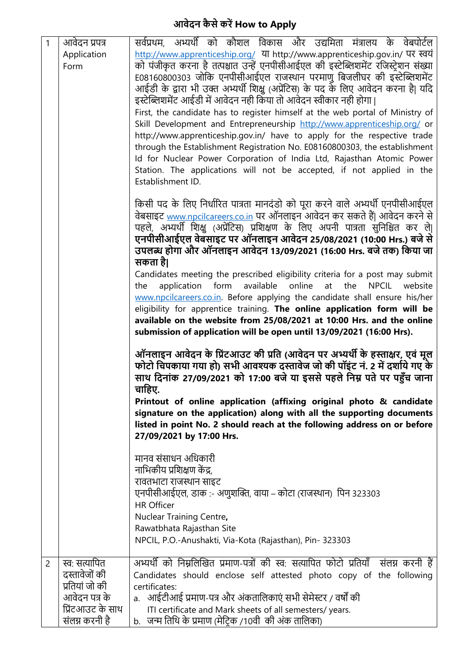## **आवेदन कै से करें How to Apply**

| $\mathbf{1}$   | आवेदन प्रपत्र    | सर्वप्रथम, अभ्यर्थी को कौशल विकास और उद्यमिता मंत्रालय के वेबपोर्टल                                                                                    |
|----------------|------------------|--------------------------------------------------------------------------------------------------------------------------------------------------------|
|                | Application      | http://www.apprenticeship.org/ या http://www.apprenticeship.gov.in/ पर स्वयं                                                                           |
|                | Form             | को पंजीकृत करना है तत्पश्चांत उन्हें एनपीसीआईएल की इस्टेब्लिशमेंट रजिस्ट्रेशन संख्या                                                                   |
|                |                  | E08160800303 जोकि एनपीसीआईएल राजस्थान परमाणु बिजलीघर की इस्टेब्लिशमेंट                                                                                 |
|                |                  | आईडी के द्वारा भी उक्त अभ्यर्थी शिक्षु (अप्रेंटिस) के पद के लिए आवेदन करना है  यदि                                                                     |
|                |                  | इस्टेब्लिशमेंट आईडी में आवेदन नही किया तो आवेदन स्वीकार नही होगा।                                                                                      |
|                |                  | First, the candidate has to register himself at the web portal of Ministry of                                                                          |
|                |                  | Skill Development and Entrepreneurship http://www.apprenticeship.org/ or                                                                               |
|                |                  | http://www.apprenticeship.gov.in/ have to apply for the respective trade                                                                               |
|                |                  | through the Establishment Registration No. E08160800303, the establishment                                                                             |
|                |                  | Id for Nuclear Power Corporation of India Ltd, Rajasthan Atomic Power<br>Station. The applications will not be accepted, if not applied in the         |
|                |                  | Establishment ID.                                                                                                                                      |
|                |                  |                                                                                                                                                        |
|                |                  | किसी पद के लिए निर्धारित पात्रता मानदंडो को पूरा करने वाले अभ्यर्थी एनपीसीआईएल                                                                         |
|                |                  | वेबसाइट www.npcilcareers.co.in पर ऑनलाइन आवेदन कर सकते हैं  आवेदन करने से                                                                              |
|                |                  | पहले, अभ्यर्थी शिक्षु (अप्रेंटिस) प्रशिक्षण के लिए अपनी पात्रता सुनिश्चित कर ले                                                                        |
|                |                  | एनपीसीआईएल वेबसाइट पर ऑनलाइन आवेदन 25/08/2021 (10:00 Hrs.) बजे से                                                                                      |
|                |                  | उपलब्ध होगा और ऑनलाइन आवेदन 13/09/2021 (16:00 Hrs. बजे तक) किया जा                                                                                     |
|                |                  | सकता है।                                                                                                                                               |
|                |                  | Candidates meeting the prescribed eligibility criteria for a post may submit                                                                           |
|                |                  | application form<br>available<br>online<br><b>NPCIL</b><br>the<br>website<br>the<br>at                                                                 |
|                |                  | www.npcilcareers.co.in. Before applying the candidate shall ensure his/her<br>eligibility for apprentice training. The online application form will be |
|                |                  | available on the website from 25/08/2021 at 10:00 Hrs. and the online                                                                                  |
|                |                  | submission of application will be open until 13/09/2021 (16:00 Hrs).                                                                                   |
|                |                  |                                                                                                                                                        |
|                |                  | ऑनलाइन आवेदन के प्रिंटआउट की प्रति (आवेदन पर अभ्यर्थी के हस्ताक्षर, एवं मूल                                                                            |
|                |                  | फोटो चिपकाया गया हो) सभी आवश्यक दस्तावेज जो की पॉइंट नं. 2 में दर्शाये गए के                                                                           |
|                |                  | साथ दिनांक 27/09/2021 को 17:00 बजे या इससे पहले निम्न पते पर पहुँच जाना                                                                                |
|                |                  | चाहिए.                                                                                                                                                 |
|                |                  | Printout of online application (affixing original photo & candidate                                                                                    |
|                |                  | signature on the application) along with all the supporting documents<br>listed in point No. 2 should reach at the following address on or before      |
|                |                  | 27/09/2021 by 17:00 Hrs.                                                                                                                               |
|                |                  |                                                                                                                                                        |
|                |                  | मानव संसाधन अधिकारी                                                                                                                                    |
|                |                  | नाभिकीय प्रशिक्षण केंद्र,                                                                                                                              |
|                |                  | रावतभाटा राजस्थान साइट                                                                                                                                 |
|                |                  | एनपीसीआईएल, डाक :- अणुशक्ति, वाया – कोटा (राजस्थान) पिन 323303                                                                                         |
|                |                  | <b>HR Officer</b>                                                                                                                                      |
|                |                  | Nuclear Training Centre,                                                                                                                               |
|                |                  | Rawatbhata Rajasthan Site                                                                                                                              |
|                |                  | NPCIL, P.O.-Anushakti, Via-Kota (Rajasthan), Pin-323303                                                                                                |
| $\overline{2}$ | स्वः सत्यापित    | अभ्यर्थी को निम्नलिखित प्रमाण-पत्रों की स्व: सत्यापित फोटो प्रतियाँ  संलग्न करनी हैं                                                                   |
|                | दस्तावेजों की    | Candidates should enclose self attested photo copy of the following                                                                                    |
|                | प्रतियां जो की   | certificates:                                                                                                                                          |
|                | आवेदन पत्र के    | a.   आईटीआई प्रमाण-पत्र और अंकतालिकाएं सभी सेमेस्टर / वर्षों की                                                                                        |
|                | प्रिंटआउट के साथ | ITI certificate and Mark sheets of all semesters/years.                                                                                                |
|                | संलग्न करनी है   | b. जन्म तिथि के प्रमाण (मेट्रिक /10वी) की अंक तालिका)                                                                                                  |